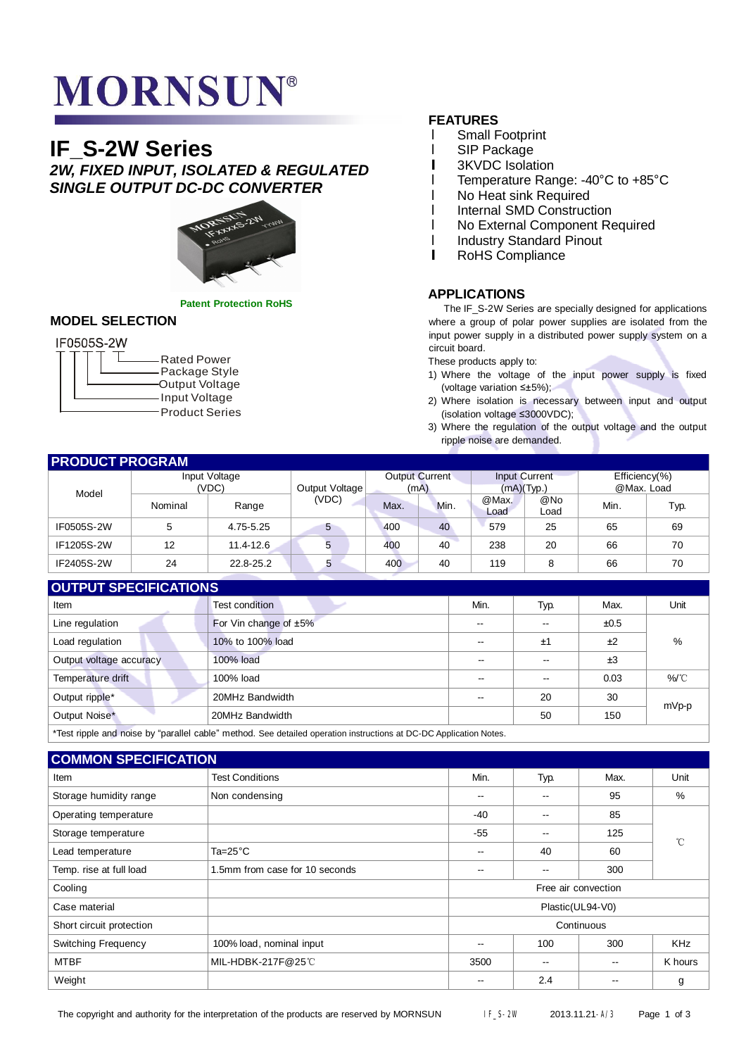# **MORNSUN®**

# **IF\_S-2W Series** *2W, FIXED INPUT, ISOLATED & REGULATED SINGLE OUTPUT DC-DC CONVERTER*



**Patent Protection RoHS**

## **MODEL SELECTION**

# IF0505S-2W

|  | <b>Rated Power</b><br>Package Style<br>Output Voltage<br>Input Voltage |
|--|------------------------------------------------------------------------|
|  | <b>Product Series</b>                                                  |

## **FEATURES**

- l Small Footprint
- l SIP Package
- **l** 3KVDC Isolation
- l Temperature Range: -40°C to +85°C
- l No Heat sink Required
- **I** Internal SMD Construction
- l No External Component Required
- **I** Industry Standard Pinout
- **l** RoHS Compliance

## **APPLICATIONS**

The IF\_S-2W Series are specially designed for applications where a group of polar power supplies are isolated from the input power supply in a distributed power supply system on a circuit board.

These products apply to:

- 1) Where the voltage of the input power supply is fixed (voltage variation ≤±5%);
- 2) Where isolation is necessary between input and output (isolation voltage ≤3000VDC);
- 3) Where the regulation of the output voltage and the output ripple noise are demanded.

| <b>PRODUCT PROGRAM</b> |                        |               |                |                               |      |                                     |             |                                 |      |
|------------------------|------------------------|---------------|----------------|-------------------------------|------|-------------------------------------|-------------|---------------------------------|------|
|                        | Input Voltage<br>(VDC) |               | Output Voltage | <b>Output Current</b><br>(mA) |      | <b>Input Current</b><br>(mA)(Type.) |             | Efficiency $(\%)$<br>@Max. Load |      |
| Model                  |                        |               |                |                               |      |                                     |             |                                 |      |
|                        | Nominal                | Range         | (VDC)          | Max.                          | Min. | @Max.<br>Load                       | @No<br>Load | Min.                            | Typ. |
| IF0505S-2W             | 5                      | 4.75-5.25     | 5              | 400                           | 40   | 579                                 | 25          | 65                              | 69   |
| IF1205S-2W             | 12                     | 11.4-12.6     | 5              | 400                           | 40   | 238                                 | 20          | 66                              | 70   |
| IF2405S-2W             | 24                     | $22.8 - 25.2$ | 5              | 400                           | 40   | 119                                 | 8           | 66                              | 70   |

# **OUTPUT SPECIFICATIONS**

| $\sim$ 11 $\sim$ 1 $\sim$ 1 $\sim$ 11 $\sim$ 11 $\sim$ 11 $\sim$                                                  |                       |                          |      |      |       |  |
|-------------------------------------------------------------------------------------------------------------------|-----------------------|--------------------------|------|------|-------|--|
| Item                                                                                                              | Test condition        | Min.                     | Typ. | Max. | Unit  |  |
| Line regulation                                                                                                   | For Vin change of ±5% | $-1$                     | --   | ±0.5 |       |  |
| Load regulation                                                                                                   | 10% to 100% load      | $-$                      | ±1   | ±2   | %     |  |
| Output voltage accuracy                                                                                           | 100% load             | --                       | --   | ±3   |       |  |
| Temperature drift                                                                                                 | 100% load             |                          |      | 0.03 | %/°C  |  |
| Output ripple*                                                                                                    | 20MHz Bandwidth       | $\overline{\phantom{a}}$ | 20   | 30   | mVp-p |  |
| Output Noise*                                                                                                     | 20MHz Bandwidth       |                          | 50   | 150  |       |  |
| *Toot ripple and poice by "parallel coble" mathod. See detailed eperation instructions at DC DC Application Netoe |                       |                          |      |      |       |  |

Test ripple and noise by "parallel cable" method. See detailed operation instructions at DC-DC Application Notes.

| <b>COMMON SPECIFICATION</b> |                                |                     |                          |       |              |  |  |
|-----------------------------|--------------------------------|---------------------|--------------------------|-------|--------------|--|--|
| Item                        | <b>Test Conditions</b>         | Min.                | Typ.                     | Max.  | Unit         |  |  |
| Storage humidity range      | Non condensing                 | $- -$               | --                       | 95    | %            |  |  |
| Operating temperature       |                                | $-40$               | $\overline{\phantom{m}}$ | 85    |              |  |  |
| Storage temperature         |                                | $-55$               | $- -$                    | 125   | $^{\circ}$ C |  |  |
| Lead temperature            | Ta= $25^{\circ}$ C             | $\qquad \qquad -$   | 40                       | 60    |              |  |  |
| Temp. rise at full load     | 1.5mm from case for 10 seconds | --                  | $- -$                    | 300   |              |  |  |
| Cooling                     |                                | Free air convection |                          |       |              |  |  |
| Case material               |                                | Plastic(UL94-V0)    |                          |       |              |  |  |
| Short circuit protection    |                                | Continuous          |                          |       |              |  |  |
| <b>Switching Frequency</b>  | 100% load, nominal input       | $\qquad \qquad -$   | 100                      | 300   | <b>KHz</b>   |  |  |
| <b>MTBF</b>                 | MIL-HDBK-217F@25℃              | 3500                | $\overline{\phantom{a}}$ | $- -$ | K hours      |  |  |
| Weight                      |                                | $- -$               | 2.4                      |       | g            |  |  |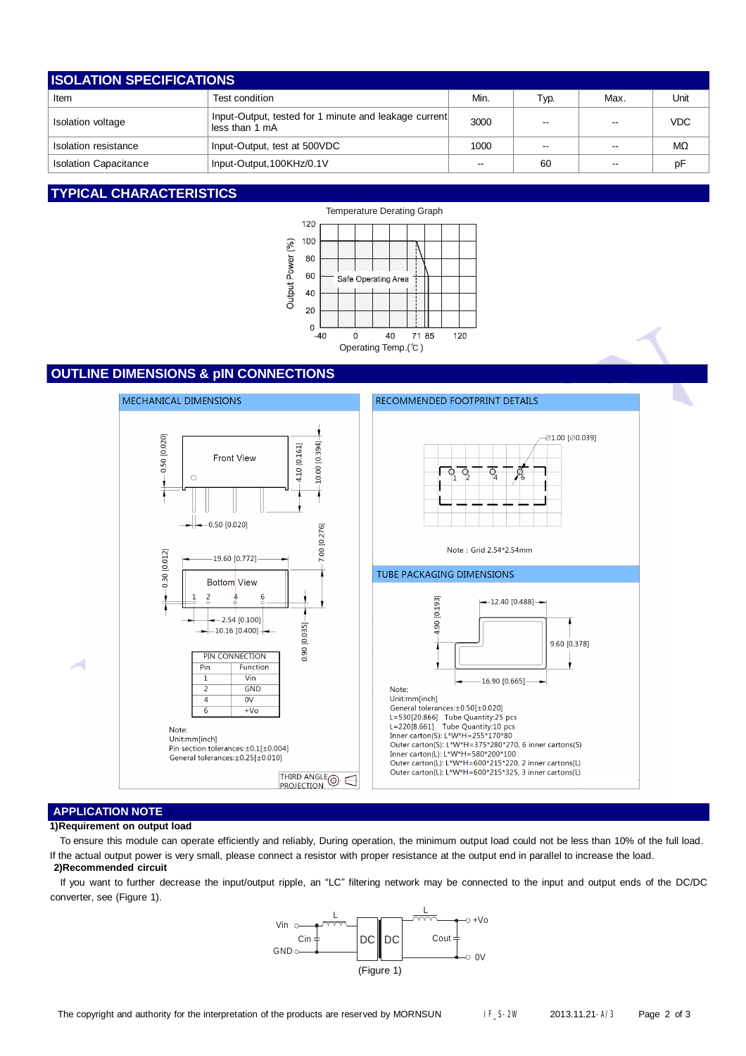| <b>ISOLATION SPECIFICATIONS</b> |                                                                         |                          |                          |      |            |  |
|---------------------------------|-------------------------------------------------------------------------|--------------------------|--------------------------|------|------------|--|
| Item                            | Test condition                                                          | Min.                     | Typ.                     | Max. | Unit       |  |
| Isolation voltage               | Input-Output, tested for 1 minute and leakage current<br>less than 1 mA | 3000                     | $\overline{\phantom{a}}$ | --   | <b>VDC</b> |  |
| Isolation resistance            | Input-Output, test at 500VDC                                            | 1000                     | --                       |      | MΩ         |  |
| <b>Isolation Capacitance</b>    | Input-Output, 100KHz/0.1V                                               | $\overline{\phantom{a}}$ | 60                       | --   | pF         |  |

## **TYPICAL CHARACTERISTICS**



# **OUTLINE DIMENSIONS & pIN CONNECTIONS**



## **APPLICATION NOTE**

#### **1)Requirement on output load**

To ensure this module can operate efficiently and reliably, During operation, the minimum output load could not be less than 10% of the full load. If the actual output power is very small, please connect a resistor with proper resistance at the output end in parallel to increase the load.

### **2)Recommended circuit**

If you want to further decrease the input/output ripple, an "LC" filtering network may be connected to the input and output ends of the DC/DC converter, see (Figure 1).